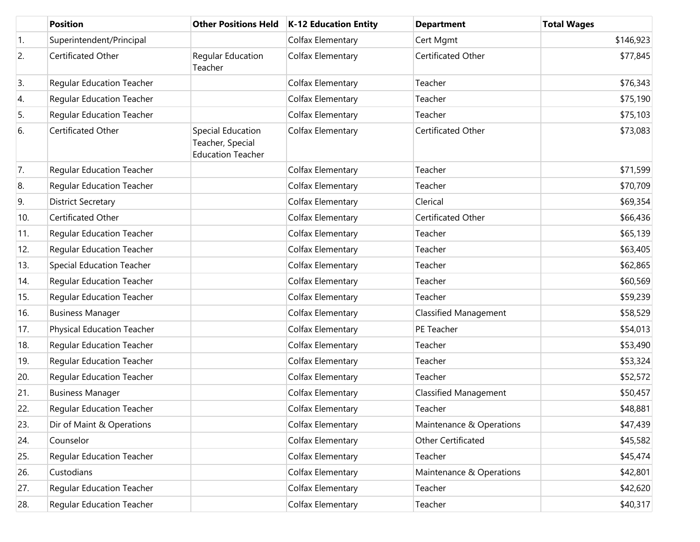|     | <b>Position</b>                   | <b>Other Positions Held</b>                                              | <b>K-12 Education Entity</b> | <b>Department</b>            | <b>Total Wages</b> |
|-----|-----------------------------------|--------------------------------------------------------------------------|------------------------------|------------------------------|--------------------|
| 1.  | Superintendent/Principal          |                                                                          | Colfax Elementary            | Cert Mgmt                    | \$146,923          |
| 2.  | Certificated Other                | Regular Education<br>Teacher                                             | Colfax Elementary            | Certificated Other           | \$77,845           |
| 3.  | <b>Regular Education Teacher</b>  |                                                                          | Colfax Elementary            | Teacher                      | \$76,343           |
| 4.  | <b>Regular Education Teacher</b>  |                                                                          | Colfax Elementary            | Teacher                      | \$75,190           |
| 5.  | <b>Regular Education Teacher</b>  |                                                                          | Colfax Elementary            | Teacher                      | \$75,103           |
| 6.  | Certificated Other                | <b>Special Education</b><br>Teacher, Special<br><b>Education Teacher</b> | Colfax Elementary            | Certificated Other           | \$73,083           |
| 7.  | <b>Regular Education Teacher</b>  |                                                                          | Colfax Elementary            | Teacher                      | \$71,599           |
| 8.  | <b>Regular Education Teacher</b>  |                                                                          | Colfax Elementary            | Teacher                      | \$70,709           |
| 9.  | <b>District Secretary</b>         |                                                                          | Colfax Elementary            | Clerical                     | \$69,354           |
| 10. | Certificated Other                |                                                                          | Colfax Elementary            | Certificated Other           | \$66,436           |
| 11. | <b>Regular Education Teacher</b>  |                                                                          | Colfax Elementary            | Teacher                      | \$65,139           |
| 12. | <b>Regular Education Teacher</b>  |                                                                          | Colfax Elementary            | Teacher                      | \$63,405           |
| 13. | <b>Special Education Teacher</b>  |                                                                          | Colfax Elementary            | Teacher                      | \$62,865           |
| 14. | <b>Regular Education Teacher</b>  |                                                                          | Colfax Elementary            | Teacher                      | \$60,569           |
| 15. | <b>Regular Education Teacher</b>  |                                                                          | Colfax Elementary            | Teacher                      | \$59,239           |
| 16. | <b>Business Manager</b>           |                                                                          | Colfax Elementary            | <b>Classified Management</b> | \$58,529           |
| 17. | <b>Physical Education Teacher</b> |                                                                          | Colfax Elementary            | PE Teacher                   | \$54,013           |
| 18. | <b>Regular Education Teacher</b>  |                                                                          | Colfax Elementary            | Teacher                      | \$53,490           |
| 19. | <b>Regular Education Teacher</b>  |                                                                          | Colfax Elementary            | Teacher                      | \$53,324           |
| 20. | <b>Regular Education Teacher</b>  |                                                                          | Colfax Elementary            | Teacher                      | \$52,572           |
| 21. | <b>Business Manager</b>           |                                                                          | Colfax Elementary            | <b>Classified Management</b> | \$50,457           |
| 22. | <b>Regular Education Teacher</b>  |                                                                          | Colfax Elementary            | Teacher                      | \$48,881           |
| 23. | Dir of Maint & Operations         |                                                                          | Colfax Elementary            | Maintenance & Operations     | \$47,439           |
| 24. | Counselor                         |                                                                          | Colfax Elementary            | Other Certificated           | \$45,582           |
| 25. | <b>Regular Education Teacher</b>  |                                                                          | Colfax Elementary            | Teacher                      | \$45,474           |
| 26. | Custodians                        |                                                                          | Colfax Elementary            | Maintenance & Operations     | \$42,801           |
| 27. | <b>Regular Education Teacher</b>  |                                                                          | Colfax Elementary            | Teacher                      | \$42,620           |
| 28. | <b>Regular Education Teacher</b>  |                                                                          | Colfax Elementary            | Teacher                      | \$40,317           |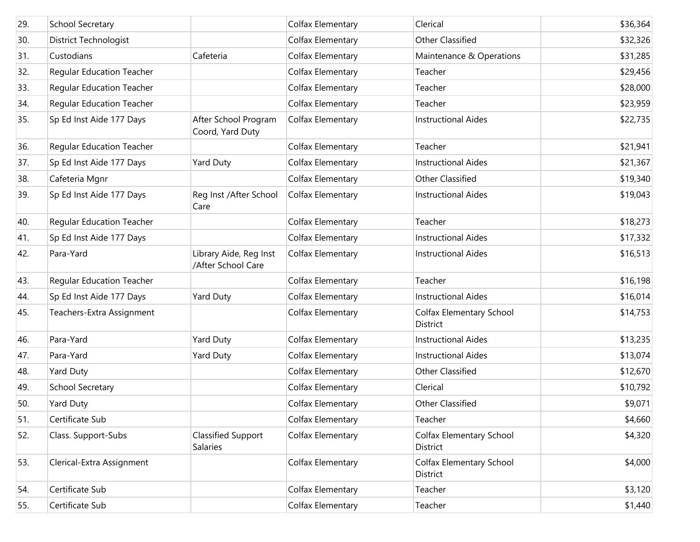| 29. | School Secretary                 |                                              | Colfax Elementary | Clerical                                    | \$36,364 |
|-----|----------------------------------|----------------------------------------------|-------------------|---------------------------------------------|----------|
| 30. | District Technologist            |                                              | Colfax Elementary | <b>Other Classified</b>                     | \$32,326 |
| 31. | Custodians                       | Cafeteria                                    | Colfax Elementary | Maintenance & Operations                    | \$31,285 |
| 32. | <b>Regular Education Teacher</b> |                                              | Colfax Elementary | Teacher                                     | \$29,456 |
| 33. | <b>Regular Education Teacher</b> |                                              | Colfax Elementary | Teacher                                     | \$28,000 |
| 34. | <b>Regular Education Teacher</b> |                                              | Colfax Elementary | Teacher                                     | \$23,959 |
| 35. | Sp Ed Inst Aide 177 Days         | After School Program<br>Coord, Yard Duty     | Colfax Elementary | <b>Instructional Aides</b>                  | \$22,735 |
| 36. | <b>Regular Education Teacher</b> |                                              | Colfax Elementary | Teacher                                     | \$21,941 |
| 37. | Sp Ed Inst Aide 177 Days         | Yard Duty                                    | Colfax Elementary | <b>Instructional Aides</b>                  | \$21,367 |
| 38. | Cafeteria Mgnr                   |                                              | Colfax Elementary | <b>Other Classified</b>                     | \$19,340 |
| 39. | Sp Ed Inst Aide 177 Days         | Reg Inst /After School<br>Care               | Colfax Elementary | <b>Instructional Aides</b>                  | \$19,043 |
| 40. | <b>Regular Education Teacher</b> |                                              | Colfax Elementary | Teacher                                     | \$18,273 |
| 41. | Sp Ed Inst Aide 177 Days         |                                              | Colfax Elementary | <b>Instructional Aides</b>                  | \$17,332 |
| 42. | Para-Yard                        | Library Aide, Reg Inst<br>/After School Care | Colfax Elementary | <b>Instructional Aides</b>                  | \$16,513 |
| 43. | <b>Regular Education Teacher</b> |                                              | Colfax Elementary | Teacher                                     | \$16,198 |
| 44. | Sp Ed Inst Aide 177 Days         | Yard Duty                                    | Colfax Elementary | <b>Instructional Aides</b>                  | \$16,014 |
| 45. | Teachers-Extra Assignment        |                                              | Colfax Elementary | Colfax Elementary School<br><b>District</b> | \$14,753 |
| 46. | Para-Yard                        | Yard Duty                                    | Colfax Elementary | <b>Instructional Aides</b>                  | \$13,235 |
| 47. | Para-Yard                        | Yard Duty                                    | Colfax Elementary | <b>Instructional Aides</b>                  | \$13,074 |
| 48. | Yard Duty                        |                                              | Colfax Elementary | <b>Other Classified</b>                     | \$12,670 |
| 49. | <b>School Secretary</b>          |                                              | Colfax Elementary | Clerical                                    | \$10,792 |
| 50. | Yard Duty                        |                                              | Colfax Elementary | <b>Other Classified</b>                     | \$9,071  |
| 51. | Certificate Sub                  |                                              | Colfax Elementary | Teacher                                     | \$4,660  |
| 52. | Class. Support-Subs              | <b>Classified Support</b><br><b>Salaries</b> | Colfax Elementary | Colfax Elementary School<br>District        | \$4,320  |
| 53. | Clerical-Extra Assignment        |                                              | Colfax Elementary | <b>Colfax Elementary School</b><br>District | \$4,000  |
| 54. | Certificate Sub                  |                                              | Colfax Elementary | Teacher                                     | \$3,120  |
| 55. | Certificate Sub                  |                                              | Colfax Elementary | Teacher                                     | \$1,440  |